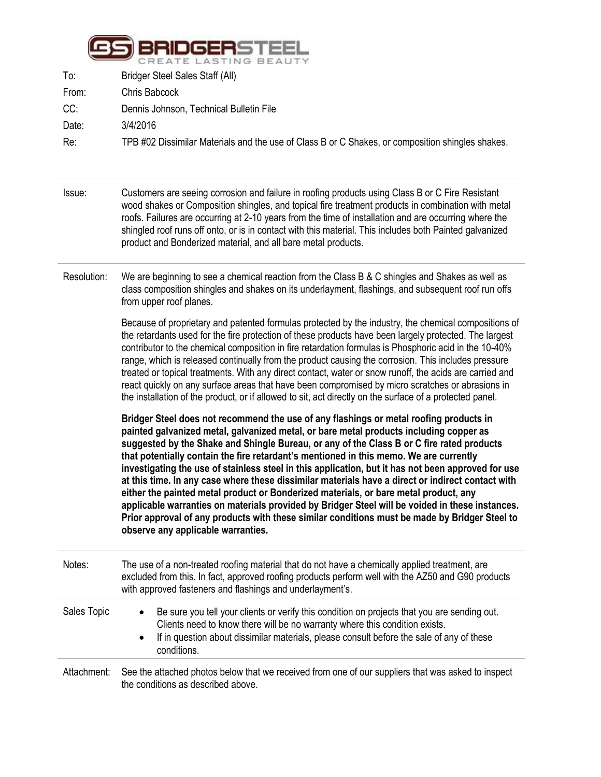

| Bridger Steel Sales Staff (All)                                                                  |
|--------------------------------------------------------------------------------------------------|
| Chris Babcock                                                                                    |
| Dennis Johnson, Technical Bulletin File                                                          |
| 3/4/2016                                                                                         |
| TPB #02 Dissimilar Materials and the use of Class B or C Shakes, or composition shingles shakes. |
|                                                                                                  |

- Issue: Customers are seeing corrosion and failure in roofing products using Class B or C Fire Resistant wood shakes or Composition shingles, and topical fire treatment products in combination with metal roofs. Failures are occurring at 2-10 years from the time of installation and are occurring where the shingled roof runs off onto, or is in contact with this material. This includes both Painted galvanized product and Bonderized material, and all bare metal products.
- Resolution: We are beginning to see a chemical reaction from the Class B & C shingles and Shakes as well as class composition shingles and shakes on its underlayment, flashings, and subsequent roof run offs from upper roof planes.

Because of proprietary and patented formulas protected by the industry, the chemical compositions of the retardants used for the fire protection of these products have been largely protected. The largest contributor to the chemical composition in fire retardation formulas is Phosphoric acid in the 10-40% range, which is released continually from the product causing the corrosion. This includes pressure treated or topical treatments. With any direct contact, water or snow runoff, the acids are carried and react quickly on any surface areas that have been compromised by micro scratches or abrasions in the installation of the product, or if allowed to sit, act directly on the surface of a protected panel.

**Bridger Steel does not recommend the use of any flashings or metal roofing products in painted galvanized metal, galvanized metal, or bare metal products including copper as suggested by the Shake and Shingle Bureau, or any of the Class B or C fire rated products that potentially contain the fire retardant's mentioned in this memo. We are currently investigating the use of stainless steel in this application, but it has not been approved for use at this time. In any case where these dissimilar materials have a direct or indirect contact with either the painted metal product or Bonderized materials, or bare metal product, any applicable warranties on materials provided by Bridger Steel will be voided in these instances. Prior approval of any products with these similar conditions must be made by Bridger Steel to observe any applicable warranties.**

| Notes:      | The use of a non-treated roofing material that do not have a chemically applied treatment, are<br>excluded from this. In fact, approved roofing products perform well with the AZ50 and G90 products<br>with approved fasteners and flashings and underlayment's.                                                 |
|-------------|-------------------------------------------------------------------------------------------------------------------------------------------------------------------------------------------------------------------------------------------------------------------------------------------------------------------|
| Sales Topic | Be sure you tell your clients or verify this condition on projects that you are sending out.<br>$\bullet$<br>Clients need to know there will be no warranty where this condition exists.<br>If in question about dissimilar materials, please consult before the sale of any of these<br>$\bullet$<br>conditions. |
| Attachment: | See the attached photos below that we received from one of our suppliers that was asked to inspect                                                                                                                                                                                                                |

the conditions as described above.